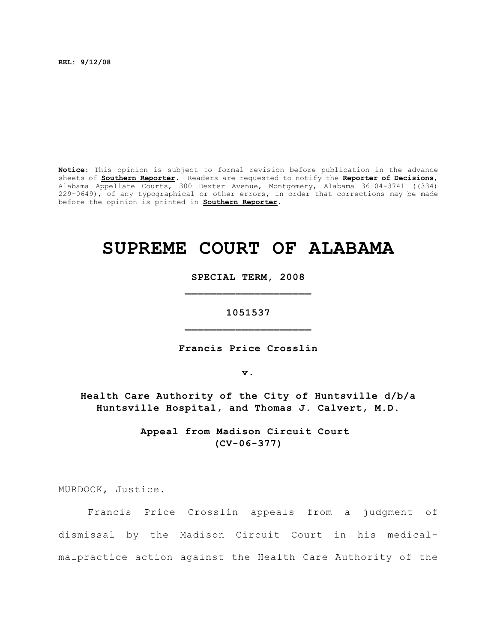**REL: 9/12/08**

**Notice:** This opinion is subject to formal revision before publication in the advance sheets of **Southern Reporter**. Readers are requested to notify the **Reporter of Decisions**, Alabama Appellate Courts, 300 Dexter Avenue, Montgomery, Alabama 36104-3741 ((334) 229-0649), of any typographical or other errors, in order that corrections may be made before the opinion is printed in **Southern Reporter**.

# **SUPREME COURT OF ALABAMA**

**SPECIAL TERM, 2008 \_\_\_\_\_\_\_\_\_\_\_\_\_\_\_\_\_\_\_\_**

**1051537 \_\_\_\_\_\_\_\_\_\_\_\_\_\_\_\_\_\_\_\_**

**Francis Price Crosslin**

**v.**

**Health Care Authority of the City of Huntsville d/b/a Huntsville Hospital, and Thomas J. Calvert, M.D.**

> **Appeal from Madison Circuit Court (CV-06-377)**

MURDOCK, Justice.

Francis Price Crosslin appeals from a judgment of dismissal by the Madison Circuit Court in his medicalmalpractice action against the Health Care Authority of the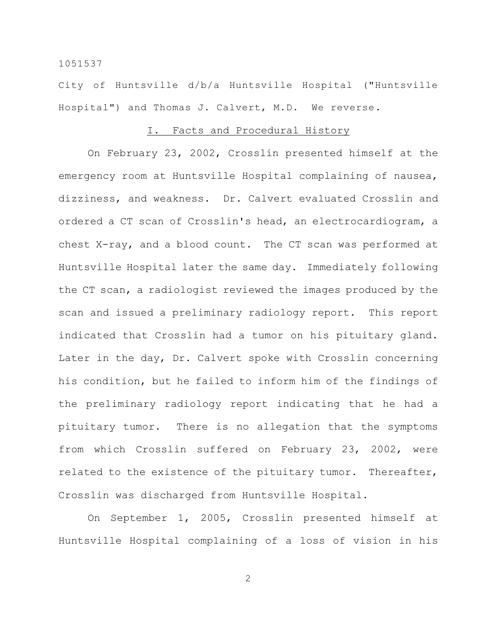City of Huntsville d/b/a Huntsville Hospital ("Huntsville Hospital") and Thomas J. Calvert, M.D. We reverse.

## I. Facts and Procedural History

On February 23, 2002, Crosslin presented himself at the emergency room at Huntsville Hospital complaining of nausea, dizziness, and weakness. Dr. Calvert evaluated Crosslin and ordered a CT scan of Crosslin's head, an electrocardiogram, a chest X-ray, and a blood count. The CT scan was performed at Huntsville Hospital later the same day. Immediately following the CT scan, a radiologist reviewed the images produced by the scan and issued a preliminary radiology report. This report indicated that Crosslin had a tumor on his pituitary gland. Later in the day, Dr. Calvert spoke with Crosslin concerning his condition, but he failed to inform him of the findings of the preliminary radiology report indicating that he had a pituitary tumor. There is no allegation that the symptoms from which Crosslin suffered on February 23, 2002, were related to the existence of the pituitary tumor. Thereafter, Crosslin was discharged from Huntsville Hospital.

On September 1, 2005, Crosslin presented himself at Huntsville Hospital complaining of a loss of vision in his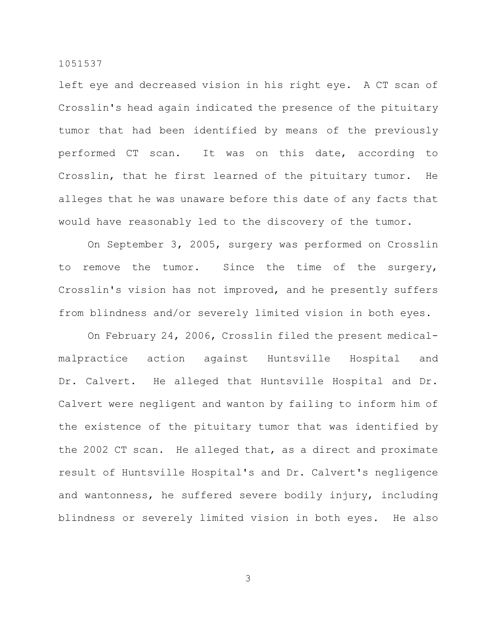left eye and decreased vision in his right eye. A CT scan of Crosslin's head again indicated the presence of the pituitary tumor that had been identified by means of the previously performed CT scan. It was on this date, according to Crosslin, that he first learned of the pituitary tumor. He alleges that he was unaware before this date of any facts that would have reasonably led to the discovery of the tumor.

On September 3, 2005, surgery was performed on Crosslin to remove the tumor. Since the time of the surgery, Crosslin's vision has not improved, and he presently suffers from blindness and/or severely limited vision in both eyes.

On February 24, 2006, Crosslin filed the present medicalmalpractice action against Huntsville Hospital and Dr. Calvert. He alleged that Huntsville Hospital and Dr. Calvert were negligent and wanton by failing to inform him of the existence of the pituitary tumor that was identified by the 2002 CT scan. He alleged that, as a direct and proximate result of Huntsville Hospital's and Dr. Calvert's negligence and wantonness, he suffered severe bodily injury, including blindness or severely limited vision in both eyes. He also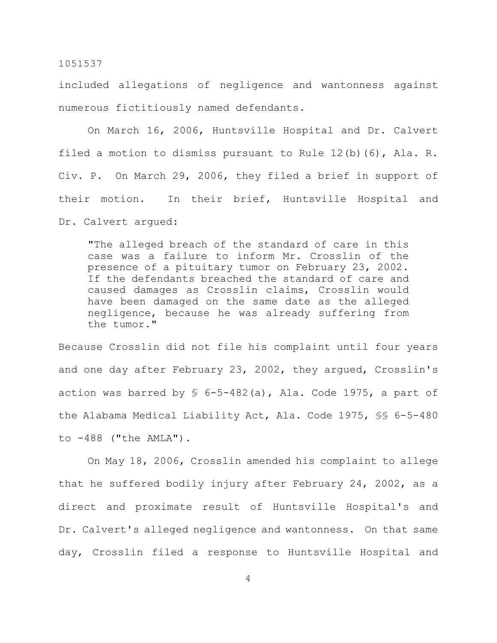included allegations of negligence and wantonness against numerous fictitiously named defendants.

On March 16, 2006, Huntsville Hospital and Dr. Calvert filed a motion to dismiss pursuant to Rule 12(b)(6), Ala. R. Civ. P. On March 29, 2006, they filed a brief in support of their motion. In their brief, Huntsville Hospital and Dr. Calvert argued:

"The alleged breach of the standard of care in this case was a failure to inform Mr. Crosslin of the presence of a pituitary tumor on February 23, 2002. If the defendants breached the standard of care and caused damages as Crosslin claims, Crosslin would have been damaged on the same date as the alleged negligence, because he was already suffering from the tumor."

Because Crosslin did not file his complaint until four years and one day after February 23, 2002, they argued, Crosslin's action was barred by  $\frac{1}{5}$  6-5-482(a), Ala. Code 1975, a part of the Alabama Medical Liability Act, Ala. Code 1975, §§ 6-5-480 to -488 ("the AMLA").

On May 18, 2006, Crosslin amended his complaint to allege that he suffered bodily injury after February 24, 2002, as a direct and proximate result of Huntsville Hospital's and Dr. Calvert's alleged negligence and wantonness. On that same day, Crosslin filed a response to Huntsville Hospital and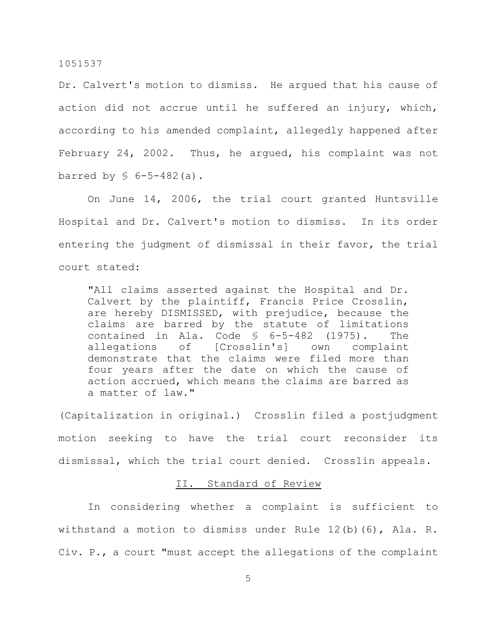Dr. Calvert's motion to dismiss. He argued that his cause of action did not accrue until he suffered an injury, which, according to his amended complaint, allegedly happened after February 24, 2002. Thus, he argued, his complaint was not barred by  $\text{\$ }6-5-482$  (a).

On June 14, 2006, the trial court granted Huntsville Hospital and Dr. Calvert's motion to dismiss. In its order entering the judgment of dismissal in their favor, the trial court stated:

"All claims asserted against the Hospital and Dr. Calvert by the plaintiff, Francis Price Crosslin, are hereby DISMISSED, with prejudice, because the claims are barred by the statute of limitations contained in Ala. Code § 6-5-482 (1975). The<br>allegations of [Crosslin's] own complaint allegations of [Crosslin's] own complaint demonstrate that the claims were filed more than four years after the date on which the cause of action accrued, which means the claims are barred as a matter of law."

(Capitalization in original.) Crosslin filed a postjudgment motion seeking to have the trial court reconsider its dismissal, which the trial court denied. Crosslin appeals.

# II. Standard of Review

In considering whether a complaint is sufficient to withstand a motion to dismiss under Rule 12(b)(6), Ala. R. Civ. P., a court "must accept the allegations of the complaint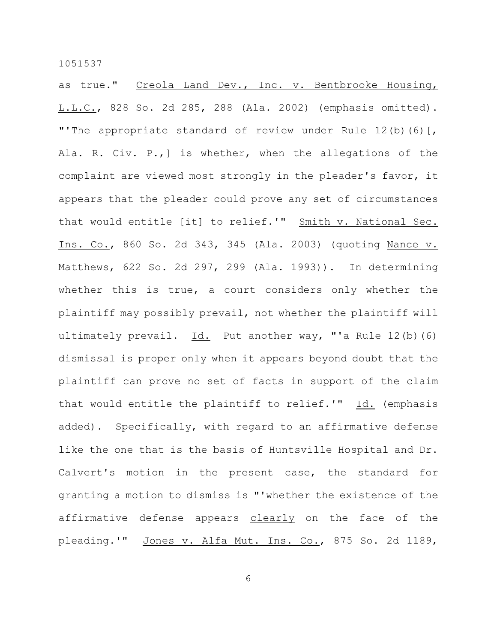as true." Creola Land Dev., Inc. v. Bentbrooke Housing, L.L.C., 828 So. 2d 285, 288 (Ala. 2002) (emphasis omitted). "'The appropriate standard of review under Rule 12(b)(6)[, Ala. R. Civ. P.,] is whether, when the allegations of the complaint are viewed most strongly in the pleader's favor, it appears that the pleader could prove any set of circumstances that would entitle [it] to relief.'" Smith v. National Sec. Ins. Co., 860 So. 2d 343, 345 (Ala. 2003) (quoting Nance v. Matthews, 622 So. 2d 297, 299 (Ala. 1993)). In determining whether this is true, a court considers only whether the plaintiff may possibly prevail, not whether the plaintiff will ultimately prevail.  $Id.$  Put another way, "'a Rule 12(b)(6) dismissal is proper only when it appears beyond doubt that the plaintiff can prove no set of facts in support of the claim that would entitle the plaintiff to relief.'" Id. (emphasis added). Specifically, with regard to an affirmative defense like the one that is the basis of Huntsville Hospital and Dr. Calvert's motion in the present case, the standard for granting a motion to dismiss is "'whether the existence of the affirmative defense appears clearly on the face of the pleading.'" Jones v. Alfa Mut. Ins. Co., 875 So. 2d 1189,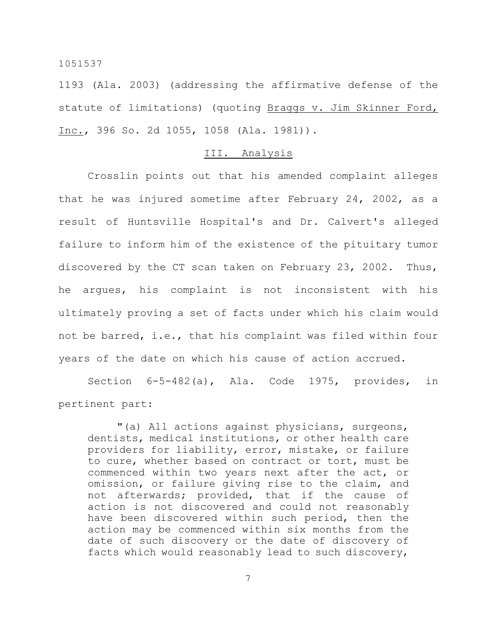1193 (Ala. 2003) (addressing the affirmative defense of the statute of limitations) (quoting Braggs v. Jim Skinner Ford, Inc., 396 So. 2d 1055, 1058 (Ala. 1981)).

# III. Analysis

Crosslin points out that his amended complaint alleges that he was injured sometime after February 24, 2002, as a result of Huntsville Hospital's and Dr. Calvert's alleged failure to inform him of the existence of the pituitary tumor discovered by the CT scan taken on February 23, 2002. Thus, he argues, his complaint is not inconsistent with his ultimately proving a set of facts under which his claim would not be barred, i.e., that his complaint was filed within four years of the date on which his cause of action accrued.

Section 6-5-482(a), Ala. Code 1975, provides, in pertinent part:

"(a) All actions against physicians, surgeons, dentists, medical institutions, or other health care providers for liability, error, mistake, or failure to cure, whether based on contract or tort, must be commenced within two years next after the act, or omission, or failure giving rise to the claim, and not afterwards; provided, that if the cause of action is not discovered and could not reasonably have been discovered within such period, then the action may be commenced within six months from the date of such discovery or the date of discovery of facts which would reasonably lead to such discovery,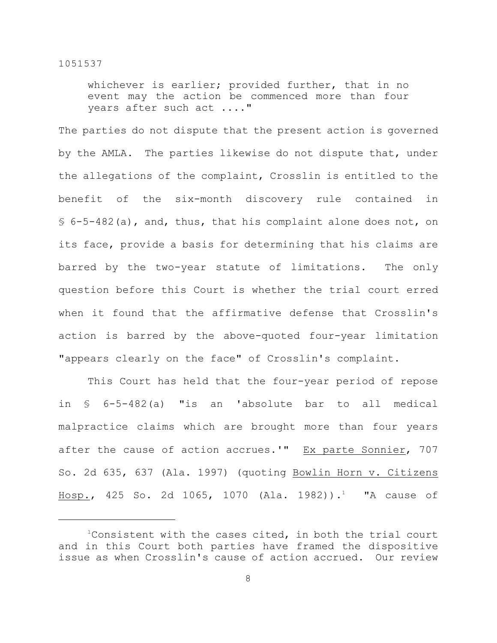whichever is earlier; provided further, that in no event may the action be commenced more than four years after such act ...."

The parties do not dispute that the present action is governed by the AMLA. The parties likewise do not dispute that, under the allegations of the complaint, Crosslin is entitled to the benefit of the six-month discovery rule contained in § 6-5-482(a), and, thus, that his complaint alone does not, on its face, provide a basis for determining that his claims are barred by the two-year statute of limitations. The only question before this Court is whether the trial court erred when it found that the affirmative defense that Crosslin's action is barred by the above-quoted four-year limitation "appears clearly on the face" of Crosslin's complaint.

This Court has held that the four-year period of repose in § 6-5-482(a) "is an 'absolute bar to all medical malpractice claims which are brought more than four years after the cause of action accrues.'" Ex parte Sonnier, 707 So. 2d 635, 637 (Ala. 1997) (quoting Bowlin Horn v. Citizens Hosp., 425 So. 2d 1065, 1070 (Ala. 1982)).<sup>1</sup> "A cause of

<sup>&</sup>lt;sup>1</sup>Consistent with the cases cited, in both the trial court and in this Court both parties have framed the dispositive issue as when Crosslin's cause of action accrued. Our review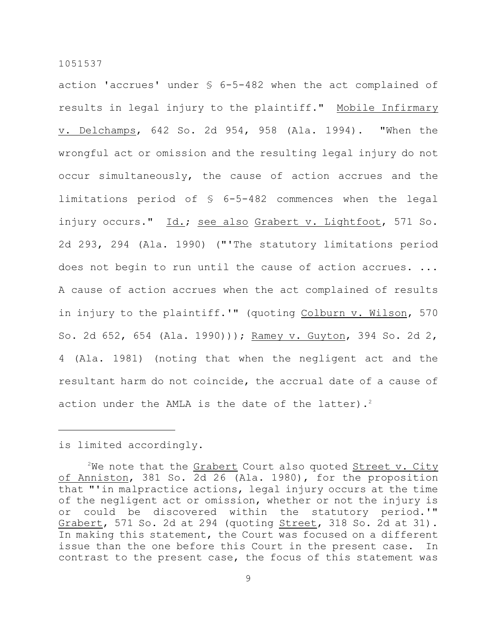action 'accrues' under § 6-5-482 when the act complained of results in legal injury to the plaintiff." Mobile Infirmary v. Delchamps, 642 So. 2d 954, 958 (Ala. 1994). "When the wrongful act or omission and the resulting legal injury do not occur simultaneously, the cause of action accrues and the limitations period of § 6-5-482 commences when the legal injury occurs." Id.; see also Grabert v. Lightfoot, 571 So. 2d 293, 294 (Ala. 1990) ("'The statutory limitations period does not begin to run until the cause of action accrues. ... A cause of action accrues when the act complained of results in injury to the plaintiff.'" (quoting Colburn v. Wilson, 570 So. 2d 652, 654 (Ala. 1990))); Ramey v. Guyton, 394 So. 2d 2, 4 (Ala. 1981) (noting that when the negligent act and the resultant harm do not coincide, the accrual date of a cause of action under the AMLA is the date of the latter). 2

## is limited accordingly.

<sup>&</sup>lt;sup>2</sup>We note that the Grabert Court also quoted Street v. City of Anniston, 381 So. 2d 26 (Ala. 1980), for the proposition that "'in malpractice actions, legal injury occurs at the time of the negligent act or omission, whether or not the injury is or could be discovered within the statutory period.'" Grabert, 571 So. 2d at 294 (quoting Street, 318 So. 2d at 31). In making this statement, the Court was focused on a different issue than the one before this Court in the present case. In contrast to the present case, the focus of this statement was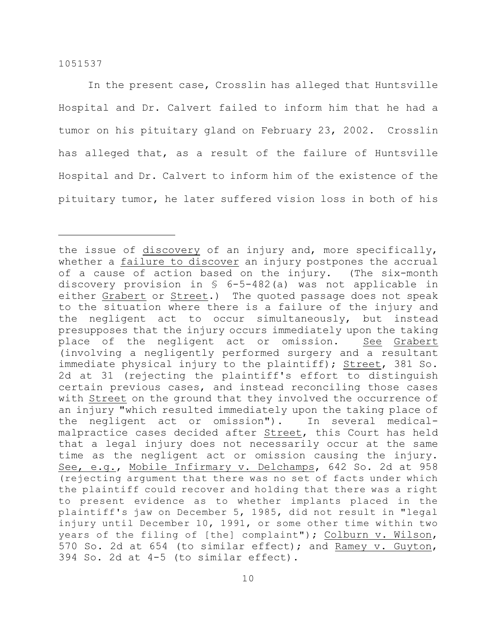In the present case, Crosslin has alleged that Huntsville Hospital and Dr. Calvert failed to inform him that he had a tumor on his pituitary gland on February 23, 2002. Crosslin has alleged that, as a result of the failure of Huntsville Hospital and Dr. Calvert to inform him of the existence of the pituitary tumor, he later suffered vision loss in both of his

the issue of discovery of an injury and, more specifically, whether a failure to discover an injury postpones the accrual of a cause of action based on the injury. (The six-month discovery provision in § 6-5-482(a) was not applicable in either Grabert or Street.) The quoted passage does not speak to the situation where there is a failure of the injury and the negligent act to occur simultaneously, but instead presupposes that the injury occurs immediately upon the taking place of the negligent act or omission. See Grabert (involving a negligently performed surgery and a resultant immediate physical injury to the plaintiff); Street, 381 So. 2d at 31 (rejecting the plaintiff's effort to distinguish certain previous cases, and instead reconciling those cases with Street on the ground that they involved the occurrence of an injury "which resulted immediately upon the taking place of the negligent act or omission"). In several medicalmalpractice cases decided after Street, this Court has held that a legal injury does not necessarily occur at the same time as the negligent act or omission causing the injury. See, e.g., Mobile Infirmary v. Delchamps, 642 So. 2d at 958 (rejecting argument that there was no set of facts under which the plaintiff could recover and holding that there was a right to present evidence as to whether implants placed in the plaintiff's jaw on December 5, 1985, did not result in "legal injury until December 10, 1991, or some other time within two years of the filing of [the] complaint"); Colburn v. Wilson, 570 So. 2d at 654 (to similar effect); and Ramey v. Guyton, 394 So. 2d at 4-5 (to similar effect).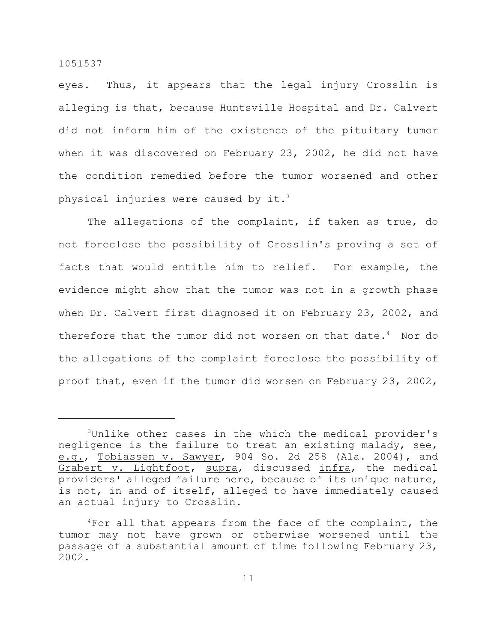eyes. Thus, it appears that the legal injury Crosslin is alleging is that, because Huntsville Hospital and Dr. Calvert did not inform him of the existence of the pituitary tumor when it was discovered on February 23, 2002, he did not have the condition remedied before the tumor worsened and other physical injuries were caused by it.<sup>3</sup>

The allegations of the complaint, if taken as true, do not foreclose the possibility of Crosslin's proving a set of facts that would entitle him to relief. For example, the evidence might show that the tumor was not in a growth phase when Dr. Calvert first diagnosed it on February 23, 2002, and therefore that the tumor did not worsen on that date.<sup>4</sup> Nor do the allegations of the complaint foreclose the possibility of proof that, even if the tumor did worsen on February 23, 2002,

<sup>&</sup>lt;sup>3</sup>Unlike other cases in the which the medical provider's negligence is the failure to treat an existing malady, see, e.g., Tobiassen v. Sawyer, 904 So. 2d 258 (Ala. 2004), and Grabert v. Lightfoot, supra, discussed infra, the medical providers' alleged failure here, because of its unique nature, is not, in and of itself, alleged to have immediately caused an actual injury to Crosslin.

 $4$ For all that appears from the face of the complaint, the tumor may not have grown or otherwise worsened until the passage of a substantial amount of time following February 23, 2002.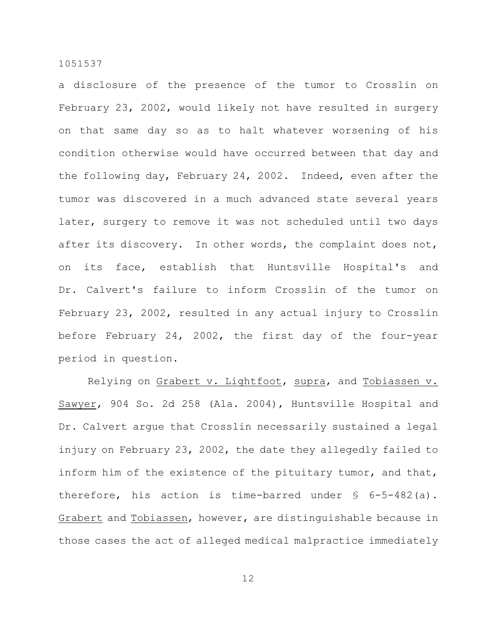a disclosure of the presence of the tumor to Crosslin on February 23, 2002, would likely not have resulted in surgery on that same day so as to halt whatever worsening of his condition otherwise would have occurred between that day and the following day, February 24, 2002. Indeed, even after the tumor was discovered in a much advanced state several years later, surgery to remove it was not scheduled until two days after its discovery. In other words, the complaint does not, on its face, establish that Huntsville Hospital's and Dr. Calvert's failure to inform Crosslin of the tumor on February 23, 2002, resulted in any actual injury to Crosslin before February 24, 2002, the first day of the four-year period in question.

Relying on Grabert v. Lightfoot, supra, and Tobiassen v. Sawyer, 904 So. 2d 258 (Ala. 2004), Huntsville Hospital and Dr. Calvert argue that Crosslin necessarily sustained a legal injury on February 23, 2002, the date they allegedly failed to inform him of the existence of the pituitary tumor, and that, therefore, his action is time-barred under § 6-5-482(a). Grabert and Tobiassen, however, are distinguishable because in those cases the act of alleged medical malpractice immediately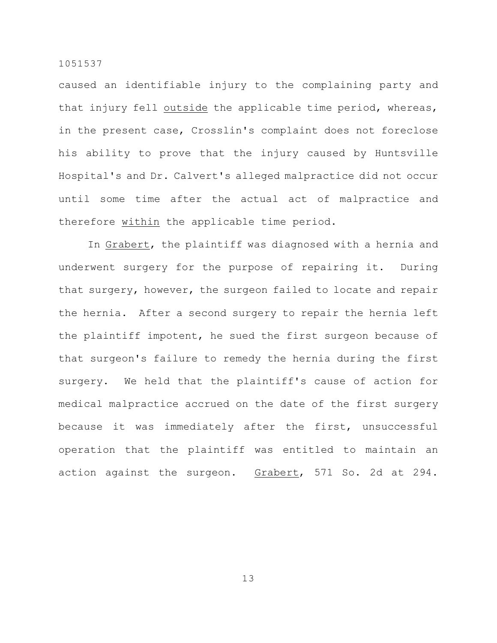caused an identifiable injury to the complaining party and that injury fell outside the applicable time period, whereas, in the present case, Crosslin's complaint does not foreclose his ability to prove that the injury caused by Huntsville Hospital's and Dr. Calvert's alleged malpractice did not occur until some time after the actual act of malpractice and therefore within the applicable time period.

In Grabert, the plaintiff was diagnosed with a hernia and underwent surgery for the purpose of repairing it. During that surgery, however, the surgeon failed to locate and repair the hernia. After a second surgery to repair the hernia left the plaintiff impotent, he sued the first surgeon because of that surgeon's failure to remedy the hernia during the first surgery. We held that the plaintiff's cause of action for medical malpractice accrued on the date of the first surgery because it was immediately after the first, unsuccessful operation that the plaintiff was entitled to maintain an action against the surgeon. Grabert, 571 So. 2d at 294.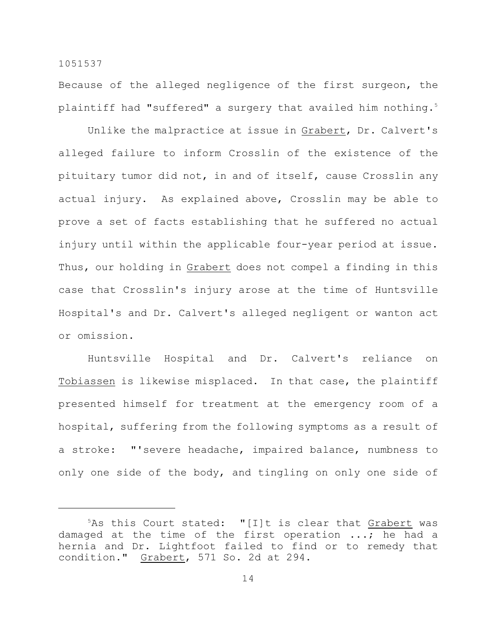Because of the alleged negligence of the first surgeon, the plaintiff had "suffered" a surgery that availed him nothing.<sup>5</sup>

Unlike the malpractice at issue in Grabert, Dr. Calvert's alleged failure to inform Crosslin of the existence of the pituitary tumor did not, in and of itself, cause Crosslin any actual injury. As explained above, Crosslin may be able to prove a set of facts establishing that he suffered no actual injury until within the applicable four-year period at issue. Thus, our holding in Grabert does not compel a finding in this case that Crosslin's injury arose at the time of Huntsville Hospital's and Dr. Calvert's alleged negligent or wanton act or omission.

Huntsville Hospital and Dr. Calvert's reliance on Tobiassen is likewise misplaced. In that case, the plaintiff presented himself for treatment at the emergency room of a hospital, suffering from the following symptoms as a result of a stroke: "'severe headache, impaired balance, numbness to only one side of the body, and tingling on only one side of

 $5$ As this Court stated: "[I]t is clear that Grabert was damaged at the time of the first operation ...; he had a hernia and Dr. Lightfoot failed to find or to remedy that condition." Grabert, 571 So. 2d at 294.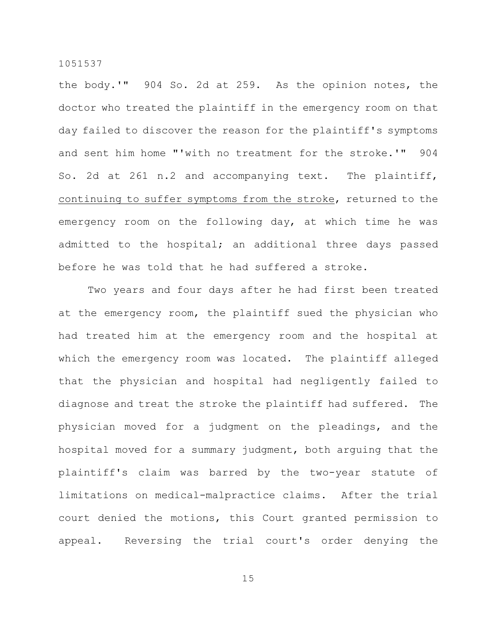the body.'" 904 So. 2d at 259. As the opinion notes, the doctor who treated the plaintiff in the emergency room on that day failed to discover the reason for the plaintiff's symptoms and sent him home "'with no treatment for the stroke.'" 904 So. 2d at 261 n.2 and accompanying text. The plaintiff, continuing to suffer symptoms from the stroke, returned to the emergency room on the following day, at which time he was admitted to the hospital; an additional three days passed before he was told that he had suffered a stroke.

Two years and four days after he had first been treated at the emergency room, the plaintiff sued the physician who had treated him at the emergency room and the hospital at which the emergency room was located. The plaintiff alleged that the physician and hospital had negligently failed to diagnose and treat the stroke the plaintiff had suffered. The physician moved for a judgment on the pleadings, and the hospital moved for a summary judgment, both arguing that the plaintiff's claim was barred by the two-year statute of limitations on medical-malpractice claims. After the trial court denied the motions, this Court granted permission to appeal. Reversing the trial court's order denying the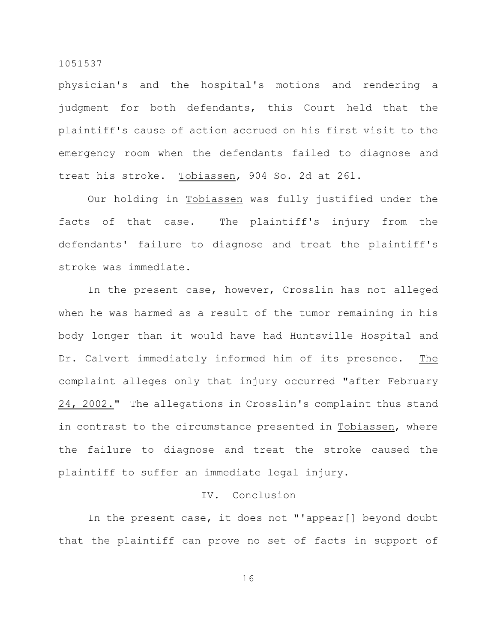physician's and the hospital's motions and rendering a judgment for both defendants, this Court held that the plaintiff's cause of action accrued on his first visit to the emergency room when the defendants failed to diagnose and treat his stroke. Tobiassen, 904 So. 2d at 261.

Our holding in Tobiassen was fully justified under the facts of that case. The plaintiff's injury from the defendants' failure to diagnose and treat the plaintiff's stroke was immediate.

In the present case, however, Crosslin has not alleged when he was harmed as a result of the tumor remaining in his body longer than it would have had Huntsville Hospital and Dr. Calvert immediately informed him of its presence. The complaint alleges only that injury occurred "after February 24, 2002." The allegations in Crosslin's complaint thus stand in contrast to the circumstance presented in Tobiassen, where the failure to diagnose and treat the stroke caused the plaintiff to suffer an immediate legal injury.

# IV. Conclusion

In the present case, it does not "'appear[] beyond doubt that the plaintiff can prove no set of facts in support of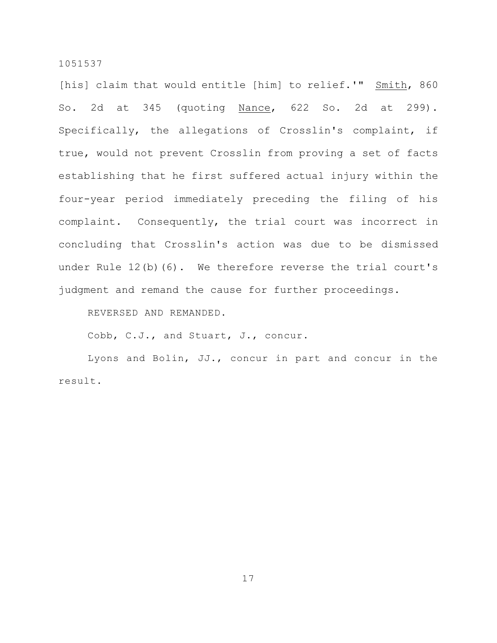[his] claim that would entitle [him] to relief.'" Smith, 860 So. 2d at 345 (quoting Nance, 622 So. 2d at 299). Specifically, the allegations of Crosslin's complaint, if true, would not prevent Crosslin from proving a set of facts establishing that he first suffered actual injury within the four-year period immediately preceding the filing of his complaint. Consequently, the trial court was incorrect in concluding that Crosslin's action was due to be dismissed under Rule 12(b)(6). We therefore reverse the trial court's judgment and remand the cause for further proceedings.

REVERSED AND REMANDED.

Cobb, C.J., and Stuart, J., concur.

Lyons and Bolin, JJ., concur in part and concur in the result.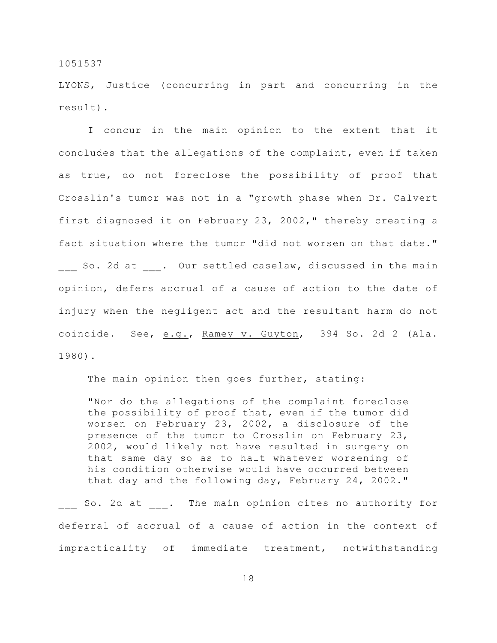LYONS, Justice (concurring in part and concurring in the result).

I concur in the main opinion to the extent that it concludes that the allegations of the complaint, even if taken as true, do not foreclose the possibility of proof that Crosslin's tumor was not in a "growth phase when Dr. Calvert first diagnosed it on February 23, 2002," thereby creating a fact situation where the tumor "did not worsen on that date." So. 2d at . Our settled caselaw, discussed in the main opinion, defers accrual of a cause of action to the date of injury when the negligent act and the resultant harm do not coincide. See, e.g., Ramey v. Guyton, 394 So. 2d 2 (Ala. 1980).

The main opinion then goes further, stating:

"Nor do the allegations of the complaint foreclose the possibility of proof that, even if the tumor did worsen on February 23, 2002, a disclosure of the presence of the tumor to Crosslin on February 23, 2002, would likely not have resulted in surgery on that same day so as to halt whatever worsening of his condition otherwise would have occurred between that day and the following day, February 24, 2002."

So. 2d at  $\qquad$ . The main opinion cites no authority for deferral of accrual of a cause of action in the context of impracticality of immediate treatment, notwithstanding